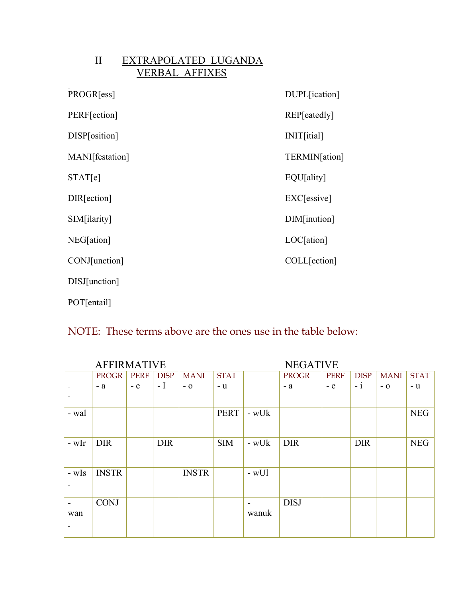| $\mathbf{H}$ | EXTRAPOLATED LUGANDA  |
|--------------|-----------------------|
|              | <b>VERBAL AFFIXES</b> |

| PROGR[ess]      | DUPL[ication] |
|-----------------|---------------|
| PERF[ection]    | REP[eatedly]  |
| DISP[osition]   | INIT[itial]   |
| MANI[festation] | TERMIN[ation] |
| STAT[e]         | EQU[ality]    |
| DIR[ection]     | EXC[essive]   |
| SIM[ilarity]    | DIM[inution]  |
| NEG[ation]      | LOC[ation]    |
| CONJ[unction]   | COLL[ection]  |
| DISJ[unction]   |               |
| POT[entail]     |               |

## NOTE: These terms above are the ones use in the table below:

| <b>AFFIRMATIVE</b> |              |             |             |              |             | <b>NEGATIVE</b>          |              |             |             |             |             |
|--------------------|--------------|-------------|-------------|--------------|-------------|--------------------------|--------------|-------------|-------------|-------------|-------------|
|                    | PROGR        | <b>PERF</b> | <b>DISP</b> | <b>MANI</b>  | <b>STAT</b> |                          | <b>PROGR</b> | <b>PERF</b> | <b>DISP</b> | <b>MANI</b> | <b>STAT</b> |
|                    | $-a$         | $-$ e       | $-I$        | $-0$         | - u         |                          | $-a$         | $-e$        | $-i$        | $-0$        | - u         |
|                    |              |             |             |              |             |                          |              |             |             |             |             |
| - wal              |              |             |             |              | PERT        | $-wUk$                   |              |             |             |             | <b>NEG</b>  |
|                    |              |             |             |              |             |                          |              |             |             |             |             |
| - wIr              | <b>DIR</b>   |             | <b>DIR</b>  |              | <b>SIM</b>  | $-wUk$                   | <b>DIR</b>   |             | <b>DIR</b>  |             | <b>NEG</b>  |
|                    |              |             |             |              |             |                          |              |             |             |             |             |
| - wIs              | <b>INSTR</b> |             |             | <b>INSTR</b> |             | $-wU1$                   |              |             |             |             |             |
|                    |              |             |             |              |             |                          |              |             |             |             |             |
| $\blacksquare$     | <b>CONJ</b>  |             |             |              |             | $\overline{\phantom{0}}$ | <b>DISJ</b>  |             |             |             |             |
| wan                |              |             |             |              |             | wanuk                    |              |             |             |             |             |
|                    |              |             |             |              |             |                          |              |             |             |             |             |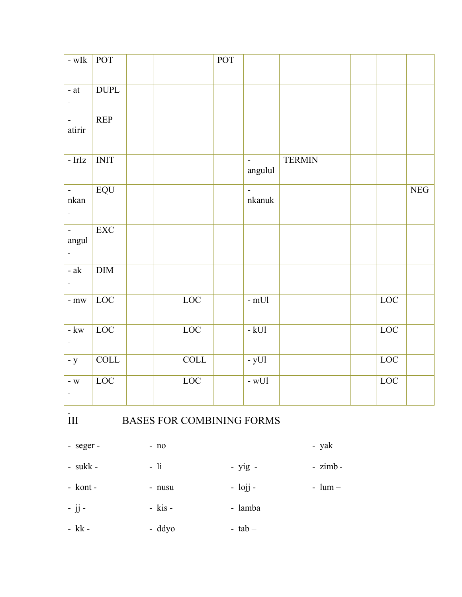| $-wIk$                             | <b>POT</b>                |  |             | <b>POT</b> |                          |               |  |     |     |
|------------------------------------|---------------------------|--|-------------|------------|--------------------------|---------------|--|-----|-----|
| $\equiv$                           |                           |  |             |            |                          |               |  |     |     |
| - $\operatorname{at}$              | <b>DUPL</b>               |  |             |            |                          |               |  |     |     |
| ÷                                  |                           |  |             |            |                          |               |  |     |     |
| $\omega_{\rm{eff}}$<br>atirir      | REP                       |  |             |            |                          |               |  |     |     |
| $\equiv$                           |                           |  |             |            |                          |               |  |     |     |
| $-IrIz$<br>$\blacksquare$          | $\overline{\text{INIT}}$  |  |             |            | $\Box$<br>angulul        | <b>TERMIN</b> |  |     |     |
| $\blacksquare$<br>nkan<br>$\equiv$ | $\overline{EQU}$          |  |             |            | $\overline{a}$<br>nkanuk |               |  |     | NEG |
| $\omega_{\rm{eff}}$<br>angul<br>ä, | $\overline{\text{EXC}}$   |  |             |            |                          |               |  |     |     |
| $-ak$                              | $\overline{\mathrm{DIM}}$ |  |             |            |                          |               |  |     |     |
| $-mw$<br>$\equiv$                  | LOC                       |  | LOC         |            | - $mUI$                  |               |  | LOC |     |
| - $\rm kw$<br>$\equiv$             | LOC                       |  | LOC         |            | $-kUI$                   |               |  | LOC |     |
| $- y$                              | COLL                      |  | <b>COLL</b> |            | $-yU1$                   |               |  | LOC |     |
| $-$ W<br>$\equiv$                  | LOC                       |  | LOC         |            | $-wU1$                   |               |  | LOC |     |

## $\frac{1}{\text{min}}$

## BASES FOR COMBINING FORMS

- seger -- yak $- no$ - yig -- sukk -  $\,$  $-$ li  $- zimb -$  lojj  $-$ - kont -  $\,$ - nusu -  $lum -$  jj  $-$ - kis -- lamba
- $kk$  -- ddyo -  $tab -$